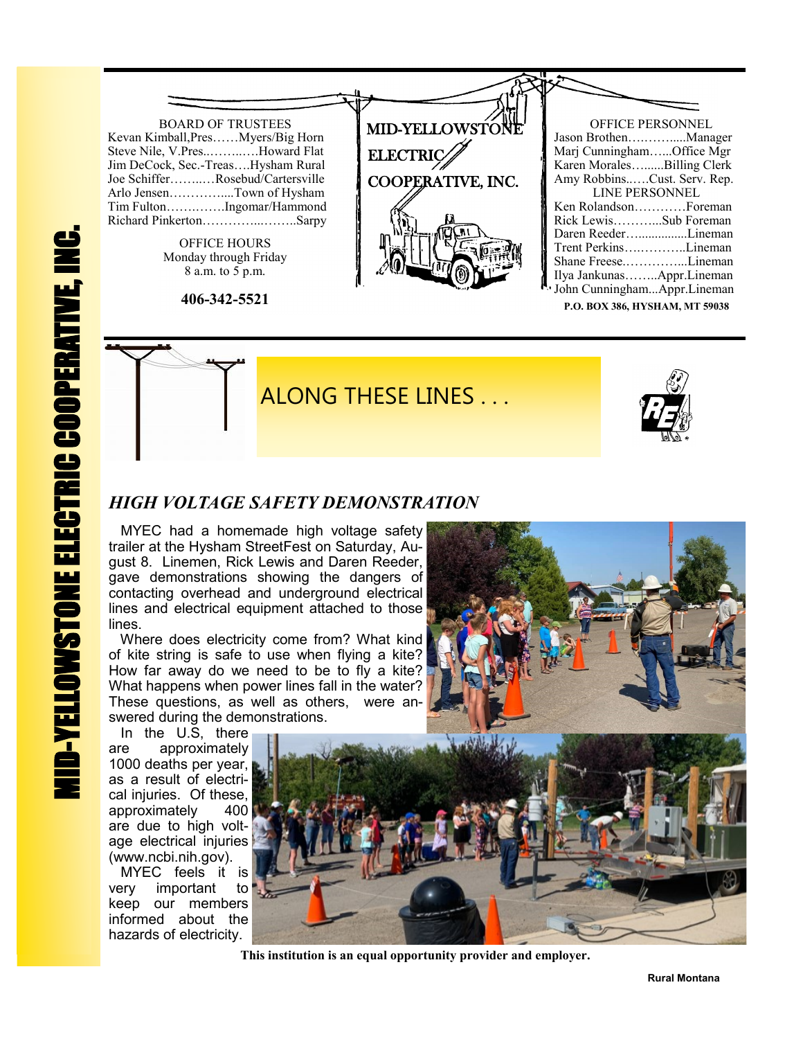

**P.O. BOX 386, HYSHAM, MT 59038**



## *HIGH VOLTAGE SAFETY DEMONSTRATION*

 MYEC had a homemade high voltage safety trailer at the Hysham StreetFest on Saturday, August 8. Linemen, Rick Lewis and Daren Reeder, gave demonstrations showing the dangers of contacting overhead and underground electrical lines and electrical equipment attached to those lines.

 Where does electricity come from? What kind of kite string is safe to use when flying a kite? How far away do we need to be to fly a kite? What happens when power lines fall in the water? These questions, as well as others, were answered during the demonstrations.

 In the U.S, there are approximately 1000 deaths per year, as a result of electrical injuries. Of these, approximately 400 are due to high voltage electrical injuries (www.ncbi.nih.gov).

 MYEC feels it is very important to keep our members informed about the hazards of electricity.



 **This institution is an equal opportunity provider and employer.**